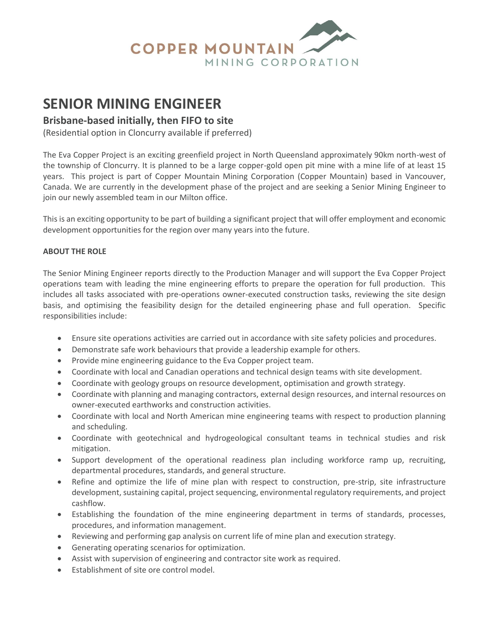

# **SENIOR MINING ENGINEER**

# **Brisbane-based initially, then FIFO to site**

(Residential option in Cloncurry available if preferred)

The Eva Copper Project is an exciting greenfield project in North Queensland approximately 90km north-west of the township of Cloncurry. It is planned to be a large copper-gold open pit mine with a mine life of at least 15 years. This project is part of Copper Mountain Mining Corporation (Copper Mountain) based in Vancouver, Canada. We are currently in the development phase of the project and are seeking a Senior Mining Engineer to join our newly assembled team in our Milton office.

This is an exciting opportunity to be part of building a significant project that will offer employment and economic development opportunities for the region over many years into the future.

#### **ABOUT THE ROLE**

The Senior Mining Engineer reports directly to the Production Manager and will support the Eva Copper Project operations team with leading the mine engineering efforts to prepare the operation for full production. This includes all tasks associated with pre-operations owner-executed construction tasks, reviewing the site design basis, and optimising the feasibility design for the detailed engineering phase and full operation. Specific responsibilities include:

- Ensure site operations activities are carried out in accordance with site safety policies and procedures.
- Demonstrate safe work behaviours that provide a leadership example for others.
- Provide mine engineering guidance to the Eva Copper project team.
- Coordinate with local and Canadian operations and technical design teams with site development.
- Coordinate with geology groups on resource development, optimisation and growth strategy.
- Coordinate with planning and managing contractors, external design resources, and internal resources on owner-executed earthworks and construction activities.
- Coordinate with local and North American mine engineering teams with respect to production planning and scheduling.
- Coordinate with geotechnical and hydrogeological consultant teams in technical studies and risk mitigation.
- Support development of the operational readiness plan including workforce ramp up, recruiting, departmental procedures, standards, and general structure.
- Refine and optimize the life of mine plan with respect to construction, pre-strip, site infrastructure development, sustaining capital, project sequencing, environmental regulatory requirements, and project cashflow.
- Establishing the foundation of the mine engineering department in terms of standards, processes, procedures, and information management.
- Reviewing and performing gap analysis on current life of mine plan and execution strategy.
- Generating operating scenarios for optimization.
- Assist with supervision of engineering and contractor site work as required.
- Establishment of site ore control model.